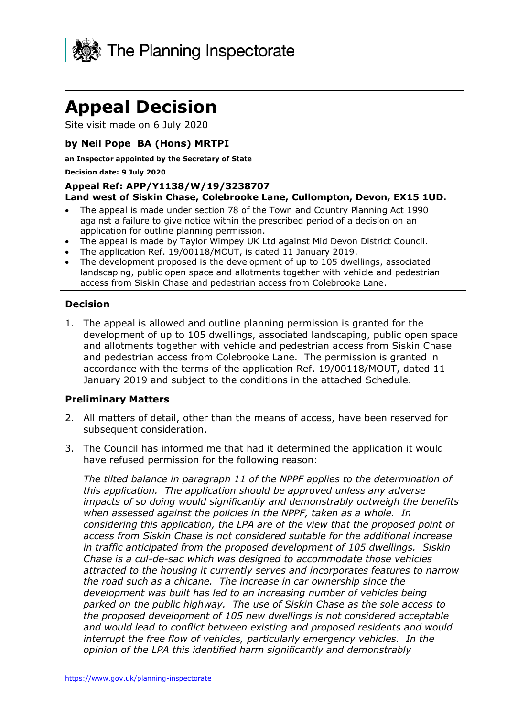

# **Appeal Decision**

Site visit made on 6 July 2020

#### **by Neil Pope BA (Hons) MRTPI**

**an Inspector appointed by the Secretary of State** 

#### **Decision date: 9 July 2020**

#### **Appeal Ref: APP/Y1138/W/19/3238707 Land west of Siskin Chase, Colebrooke Lane, Cullompton, Devon, EX15 1UD.**

- The appeal is made under section 78 of the Town and Country Planning Act 1990 against a failure to give notice within the prescribed period of a decision on an application for outline planning permission.
- The appeal is made by Taylor Wimpey UK Ltd against Mid Devon District Council.
- The application Ref. 19/00118/MOUT, is dated 11 January 2019.
- The development proposed is the development of up to 105 dwellings, associated landscaping, public open space and allotments together with vehicle and pedestrian access from Siskin Chase and pedestrian access from Colebrooke Lane.

#### **Decision**

1. The appeal is allowed and outline planning permission is granted for the development of up to 105 dwellings, associated landscaping, public open space and allotments together with vehicle and pedestrian access from Siskin Chase and pedestrian access from Colebrooke Lane. The permission is granted in accordance with the terms of the application Ref. 19/00118/MOUT, dated 11 January 2019 and subject to the conditions in the attached Schedule.

#### **Preliminary Matters**

- 2. All matters of detail, other than the means of access, have been reserved for subsequent consideration.
- 3. The Council has informed me that had it determined the application it would have refused permission for the following reason:

*The tilted balance in paragraph 11 of the NPPF applies to the determination of this application. The application should be approved unless any adverse impacts of so doing would significantly and demonstrably outweigh the benefits when assessed against the policies in the NPPF, taken as a whole. In considering this application, the LPA are of the view that the proposed point of access from Siskin Chase is not considered suitable for the additional increase in traffic anticipated from the proposed development of 105 dwellings. Siskin Chase is a cul-de-sac which was designed to accommodate those vehicles attracted to the housing it currently serves and incorporates features to narrow the road such as a chicane. The increase in car ownership since the development was built has led to an increasing number of vehicles being parked on the public highway. The use of Siskin Chase as the sole access to the proposed development of 105 new dwellings is not considered acceptable and would lead to conflict between existing and proposed residents and would interrupt the free flow of vehicles, particularly emergency vehicles. In the opinion of the LPA this identified harm significantly and demonstrably*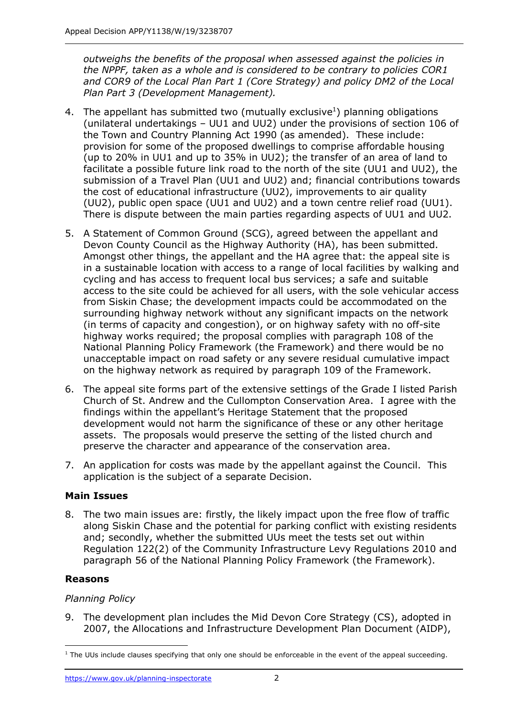*outweighs the benefits of the proposal when assessed against the policies in the NPPF, taken as a whole and is considered to be contrary to policies COR1 and COR9 of the Local Plan Part 1 (Core Strategy) and policy DM2 of the Local Plan Part 3 (Development Management).* 

- 4. The appellant has submitted two (mutually exclusive<sup>1</sup>) planning obligations (unilateral undertakings – UU1 and UU2) under the provisions of section 106 of the Town and Country Planning Act 1990 (as amended). These include: provision for some of the proposed dwellings to comprise affordable housing (up to 20% in UU1 and up to 35% in UU2); the transfer of an area of land to facilitate a possible future link road to the north of the site (UU1 and UU2), the submission of a Travel Plan (UU1 and UU2) and; financial contributions towards the cost of educational infrastructure (UU2), improvements to air quality (UU2), public open space (UU1 and UU2) and a town centre relief road (UU1). There is dispute between the main parties regarding aspects of UU1 and UU2.
- 5. A Statement of Common Ground (SCG), agreed between the appellant and Devon County Council as the Highway Authority (HA), has been submitted. Amongst other things, the appellant and the HA agree that: the appeal site is in a sustainable location with access to a range of local facilities by walking and cycling and has access to frequent local bus services; a safe and suitable access to the site could be achieved for all users, with the sole vehicular access from Siskin Chase; the development impacts could be accommodated on the surrounding highway network without any significant impacts on the network (in terms of capacity and congestion), or on highway safety with no off-site highway works required; the proposal complies with paragraph 108 of the National Planning Policy Framework (the Framework) and there would be no unacceptable impact on road safety or any severe residual cumulative impact on the highway network as required by paragraph 109 of the Framework.
- 6. The appeal site forms part of the extensive settings of the Grade I listed Parish Church of St. Andrew and the Cullompton Conservation Area. I agree with the findings within the appellant's Heritage Statement that the proposed development would not harm the significance of these or any other heritage assets. The proposals would preserve the setting of the listed church and preserve the character and appearance of the conservation area.
- 7. An application for costs was made by the appellant against the Council. This application is the subject of a separate Decision.

# **Main Issues**

8. The two main issues are: firstly, the likely impact upon the free flow of traffic along Siskin Chase and the potential for parking conflict with existing residents and; secondly, whether the submitted UUs meet the tests set out within Regulation 122(2) of the Community Infrastructure Levy Regulations 2010 and paragraph 56 of the National Planning Policy Framework (the Framework).

# **Reasons**

# *Planning Policy*

9. The development plan includes the Mid Devon Core Strategy (CS), adopted in 2007, the Allocations and Infrastructure Development Plan Document (AIDP),

<sup>&</sup>lt;sup>1</sup> The UUs include clauses specifying that only one should be enforceable in the event of the appeal succeeding.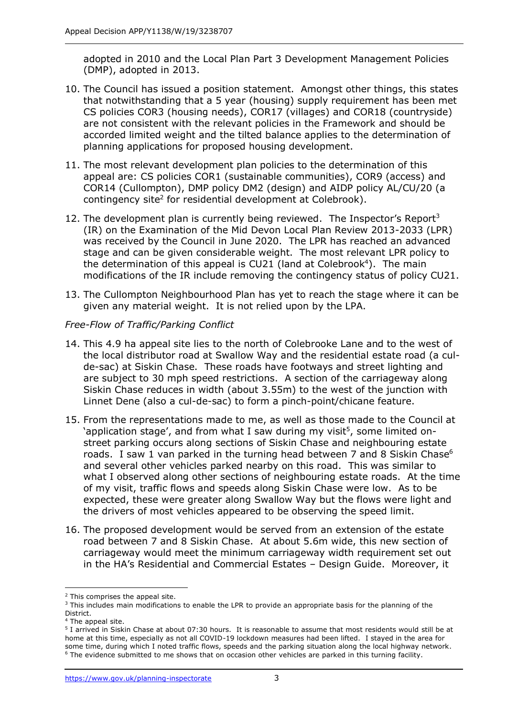adopted in 2010 and the Local Plan Part 3 Development Management Policies (DMP), adopted in 2013.

- 10. The Council has issued a position statement. Amongst other things, this states that notwithstanding that a 5 year (housing) supply requirement has been met CS policies COR3 (housing needs), COR17 (villages) and COR18 (countryside) are not consistent with the relevant policies in the Framework and should be accorded limited weight and the tilted balance applies to the determination of planning applications for proposed housing development.
- 11. The most relevant development plan policies to the determination of this appeal are: CS policies COR1 (sustainable communities), COR9 (access) and COR14 (Cullompton), DMP policy DM2 (design) and AIDP policy AL/CU/20 (a contingency site<sup>2</sup> for residential development at Colebrook).
- 12. The development plan is currently being reviewed. The Inspector's Report<sup>3</sup> (IR) on the Examination of the Mid Devon Local Plan Review 2013-2033 (LPR) was received by the Council in June 2020. The LPR has reached an advanced stage and can be given considerable weight. The most relevant LPR policy to the determination of this appeal is CU21 (land at Colebrook<sup>4</sup>). The main modifications of the IR include removing the contingency status of policy CU21.
- 13. The Cullompton Neighbourhood Plan has yet to reach the stage where it can be given any material weight. It is not relied upon by the LPA.

# *Free-Flow of Traffic/Parking Conflict*

- 14. This 4.9 ha appeal site lies to the north of Colebrooke Lane and to the west of the local distributor road at Swallow Way and the residential estate road (a culde-sac) at Siskin Chase. These roads have footways and street lighting and are subject to 30 mph speed restrictions. A section of the carriageway along Siskin Chase reduces in width (about 3.55m) to the west of the junction with Linnet Dene (also a cul-de-sac) to form a pinch-point/chicane feature.
- 15. From the representations made to me, as well as those made to the Council at 'application stage', and from what I saw during my visit<sup>5</sup>, some limited onstreet parking occurs along sections of Siskin Chase and neighbouring estate roads. I saw 1 van parked in the turning head between 7 and 8 Siskin Chase<sup>6</sup> and several other vehicles parked nearby on this road. This was similar to what I observed along other sections of neighbouring estate roads. At the time of my visit, traffic flows and speeds along Siskin Chase were low. As to be expected, these were greater along Swallow Way but the flows were light and the drivers of most vehicles appeared to be observing the speed limit.
- 16. The proposed development would be served from an extension of the estate road between 7 and 8 Siskin Chase. At about 5.6m wide, this new section of carriageway would meet the minimum carriageway width requirement set out in the HA's Residential and Commercial Estates – Design Guide. Moreover, it

<sup>&</sup>lt;sup>2</sup> This comprises the appeal site.

<sup>&</sup>lt;sup>3</sup> This includes main modifications to enable the LPR to provide an appropriate basis for the planning of the District.

<sup>&</sup>lt;sup>4</sup> The appeal site.

<sup>5</sup> I arrived in Siskin Chase at about 07:30 hours. It is reasonable to assume that most residents would still be at home at this time, especially as not all COVID-19 lockdown measures had been lifted. I stayed in the area for some time, during which I noted traffic flows, speeds and the parking situation along the local highway network. <sup>6</sup> The evidence submitted to me shows that on occasion other vehicles are parked in this turning facility.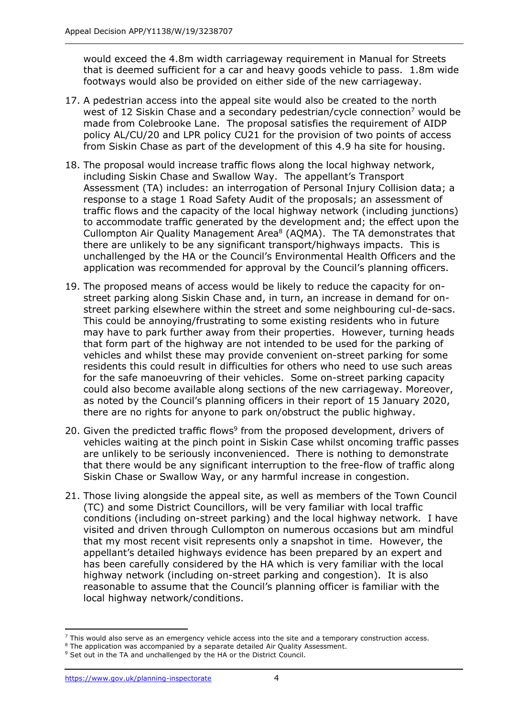would exceed the 4.8m width carriageway requirement in Manual for Streets that is deemed sufficient for a car and heavy goods vehicle to pass. 1.8m wide footways would also be provided on either side of the new carriageway.

- 17. A pedestrian access into the appeal site would also be created to the north west of 12 Siskin Chase and a secondary pedestrian/cycle connection<sup>7</sup> would be made from Colebrooke Lane. The proposal satisfies the requirement of AIDP policy AL/CU/20 and LPR policy CU21 for the provision of two points of access from Siskin Chase as part of the development of this 4.9 ha site for housing.
- 18. The proposal would increase traffic flows along the local highway network, including Siskin Chase and Swallow Way. The appellant's Transport Assessment (TA) includes: an interrogation of Personal Injury Collision data; a response to a stage 1 Road Safety Audit of the proposals; an assessment of traffic flows and the capacity of the local highway network (including junctions) to accommodate traffic generated by the development and; the effect upon the Cullompton Air Quality Management Area<sup>8</sup> (AQMA). The TA demonstrates that there are unlikely to be any significant transport/highways impacts. This is unchallenged by the HA or the Council's Environmental Health Officers and the application was recommended for approval by the Council's planning officers.
- 19. The proposed means of access would be likely to reduce the capacity for onstreet parking along Siskin Chase and, in turn, an increase in demand for onstreet parking elsewhere within the street and some neighbouring cul-de-sacs. This could be annoying/frustrating to some existing residents who in future may have to park further away from their properties. However, turning heads that form part of the highway are not intended to be used for the parking of vehicles and whilst these may provide convenient on-street parking for some residents this could result in difficulties for others who need to use such areas for the safe manoeuvring of their vehicles. Some on-street parking capacity could also become available along sections of the new carriageway. Moreover, as noted by the Council's planning officers in their report of 15 January 2020, there are no rights for anyone to park on/obstruct the public highway.
- 20. Given the predicted traffic flows<sup>9</sup> from the proposed development, drivers of vehicles waiting at the pinch point in Siskin Case whilst oncoming traffic passes are unlikely to be seriously inconvenienced. There is nothing to demonstrate that there would be any significant interruption to the free-flow of traffic along Siskin Chase or Swallow Way, or any harmful increase in congestion.
- 21. Those living alongside the appeal site, as well as members of the Town Council (TC) and some District Councillors, will be very familiar with local traffic conditions (including on-street parking) and the local highway network. I have visited and driven through Cullompton on numerous occasions but am mindful that my most recent visit represents only a snapshot in time. However, the appellant's detailed highways evidence has been prepared by an expert and has been carefully considered by the HA which is very familiar with the local highway network (including on-street parking and congestion). It is also reasonable to assume that the Council's planning officer is familiar with the local highway network/conditions.

 $<sup>7</sup>$  This would also serve as an emergency vehicle access into the site and a temporary construction access.</sup>

<sup>&</sup>lt;sup>8</sup> The application was accompanied by a separate detailed Air Quality Assessment.

<sup>&</sup>lt;sup>9</sup> Set out in the TA and unchallenged by the HA or the District Council.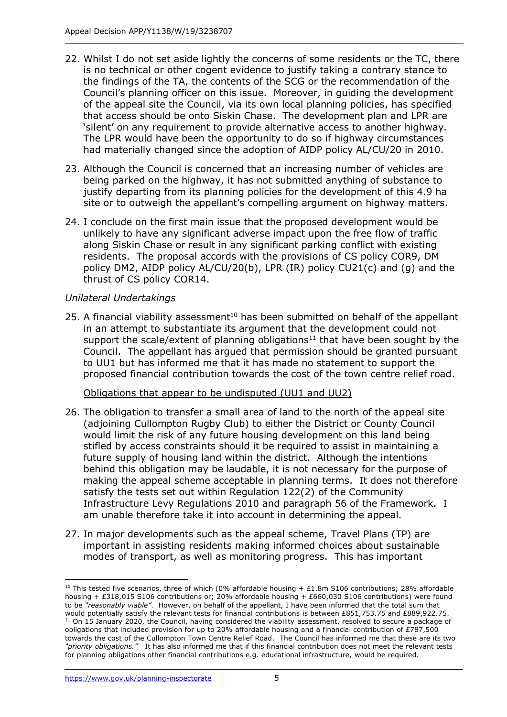- 22. Whilst I do not set aside lightly the concerns of some residents or the TC, there is no technical or other cogent evidence to justify taking a contrary stance to the findings of the TA, the contents of the SCG or the recommendation of the Council's planning officer on this issue. Moreover, in guiding the development of the appeal site the Council, via its own local planning policies, has specified that access should be onto Siskin Chase. The development plan and LPR are 'silent' on any requirement to provide alternative access to another highway. The LPR would have been the opportunity to do so if highway circumstances had materially changed since the adoption of AIDP policy AL/CU/20 in 2010.
- 23. Although the Council is concerned that an increasing number of vehicles are being parked on the highway, it has not submitted anything of substance to justify departing from its planning policies for the development of this 4.9 ha site or to outweigh the appellant's compelling argument on highway matters.
- 24. I conclude on the first main issue that the proposed development would be unlikely to have any significant adverse impact upon the free flow of traffic along Siskin Chase or result in any significant parking conflict with existing residents. The proposal accords with the provisions of CS policy COR9, DM policy DM2, AIDP policy AL/CU/20(b), LPR (IR) policy CU21(c) and (g) and the thrust of CS policy COR14.

#### *Unilateral Undertakings*

25. A financial viability assessment $10$  has been submitted on behalf of the appellant in an attempt to substantiate its argument that the development could not support the scale/extent of planning obligations<sup>11</sup> that have been sought by the Council. The appellant has argued that permission should be granted pursuant to UU1 but has informed me that it has made no statement to support the proposed financial contribution towards the cost of the town centre relief road.

#### Obligations that appear to be undisputed (UU1 and UU2)

- 26. The obligation to transfer a small area of land to the north of the appeal site (adjoining Cullompton Rugby Club) to either the District or County Council would limit the risk of any future housing development on this land being stifled by access constraints should it be required to assist in maintaining a future supply of housing land within the district. Although the intentions behind this obligation may be laudable, it is not necessary for the purpose of making the appeal scheme acceptable in planning terms. It does not therefore satisfy the tests set out within Regulation 122(2) of the Community Infrastructure Levy Regulations 2010 and paragraph 56 of the Framework. I am unable therefore take it into account in determining the appeal.
- 27. In major developments such as the appeal scheme, Travel Plans (TP) are important in assisting residents making informed choices about sustainable modes of transport, as well as monitoring progress. This has important

<sup>&</sup>lt;sup>10</sup> This tested five scenarios, three of which (0% affordable housing + £1.8m S106 contributions; 28% affordable housing + £318,015 S106 contributions or; 20% affordable housing + £660,030 S106 contributions) were found to be *"reasonably viable"*. However, on behalf of the appellant, I have been informed that the total sum that would potentially satisfy the relevant tests for financial contributions is between £851,753.75 and £889,922.75. <sup>11</sup> On 15 January 2020, the Council, having considered the viability assessment, resolved to secure a package of obligations that included provision for up to 20% affordable housing and a financial contribution of £787,500 towards the cost of the Cullompton Town Centre Relief Road. The Council has informed me that these are its two *"priority obligations."* It has also informed me that if this financial contribution does not meet the relevant tests for planning obligations other financial contributions e.g. educational infrastructure, would be required.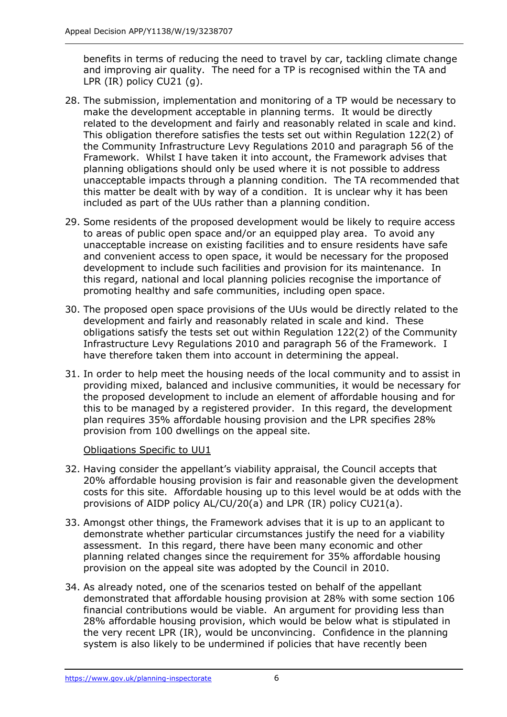benefits in terms of reducing the need to travel by car, tackling climate change and improving air quality. The need for a TP is recognised within the TA and LPR (IR) policy CU21 (g).

- 28. The submission, implementation and monitoring of a TP would be necessary to make the development acceptable in planning terms. It would be directly related to the development and fairly and reasonably related in scale and kind. This obligation therefore satisfies the tests set out within Regulation 122(2) of the Community Infrastructure Levy Regulations 2010 and paragraph 56 of the Framework. Whilst I have taken it into account, the Framework advises that planning obligations should only be used where it is not possible to address unacceptable impacts through a planning condition. The TA recommended that this matter be dealt with by way of a condition. It is unclear why it has been included as part of the UUs rather than a planning condition.
- 29. Some residents of the proposed development would be likely to require access to areas of public open space and/or an equipped play area. To avoid any unacceptable increase on existing facilities and to ensure residents have safe and convenient access to open space, it would be necessary for the proposed development to include such facilities and provision for its maintenance. In this regard, national and local planning policies recognise the importance of promoting healthy and safe communities, including open space.
- 30. The proposed open space provisions of the UUs would be directly related to the development and fairly and reasonably related in scale and kind. These obligations satisfy the tests set out within Regulation 122(2) of the Community Infrastructure Levy Regulations 2010 and paragraph 56 of the Framework. I have therefore taken them into account in determining the appeal.
- 31. In order to help meet the housing needs of the local community and to assist in providing mixed, balanced and inclusive communities, it would be necessary for the proposed development to include an element of affordable housing and for this to be managed by a registered provider. In this regard, the development plan requires 35% affordable housing provision and the LPR specifies 28% provision from 100 dwellings on the appeal site.

Obligations Specific to UU1

- 32. Having consider the appellant's viability appraisal, the Council accepts that 20% affordable housing provision is fair and reasonable given the development costs for this site. Affordable housing up to this level would be at odds with the provisions of AIDP policy AL/CU/20(a) and LPR (IR) policy CU21(a).
- 33. Amongst other things, the Framework advises that it is up to an applicant to demonstrate whether particular circumstances justify the need for a viability assessment. In this regard, there have been many economic and other planning related changes since the requirement for 35% affordable housing provision on the appeal site was adopted by the Council in 2010.
- 34. As already noted, one of the scenarios tested on behalf of the appellant demonstrated that affordable housing provision at 28% with some section 106 financial contributions would be viable. An argument for providing less than 28% affordable housing provision, which would be below what is stipulated in the very recent LPR (IR), would be unconvincing. Confidence in the planning system is also likely to be undermined if policies that have recently been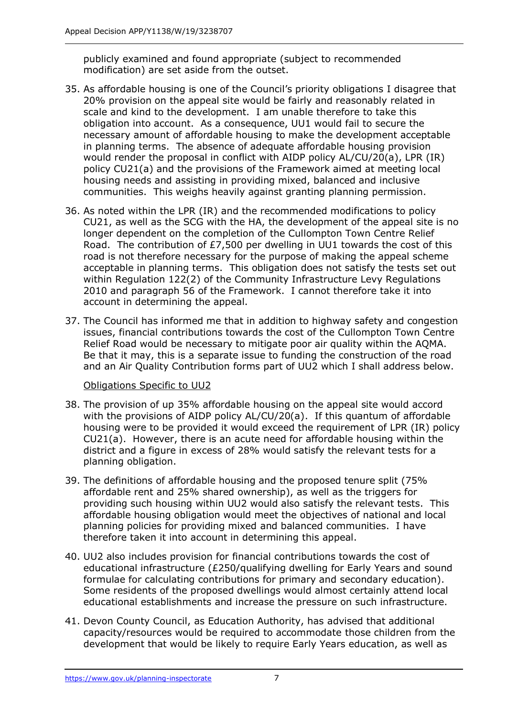publicly examined and found appropriate (subject to recommended modification) are set aside from the outset.

- 35. As affordable housing is one of the Council's priority obligations I disagree that 20% provision on the appeal site would be fairly and reasonably related in scale and kind to the development. I am unable therefore to take this obligation into account. As a consequence, UU1 would fail to secure the necessary amount of affordable housing to make the development acceptable in planning terms. The absence of adequate affordable housing provision would render the proposal in conflict with AIDP policy AL/CU/20(a), LPR (IR) policy CU21(a) and the provisions of the Framework aimed at meeting local housing needs and assisting in providing mixed, balanced and inclusive communities. This weighs heavily against granting planning permission.
- 36. As noted within the LPR (IR) and the recommended modifications to policy CU21, as well as the SCG with the HA, the development of the appeal site is no longer dependent on the completion of the Cullompton Town Centre Relief Road. The contribution of £7,500 per dwelling in UU1 towards the cost of this road is not therefore necessary for the purpose of making the appeal scheme acceptable in planning terms. This obligation does not satisfy the tests set out within Regulation 122(2) of the Community Infrastructure Levy Regulations 2010 and paragraph 56 of the Framework. I cannot therefore take it into account in determining the appeal.
- 37. The Council has informed me that in addition to highway safety and congestion issues, financial contributions towards the cost of the Cullompton Town Centre Relief Road would be necessary to mitigate poor air quality within the AQMA. Be that it may, this is a separate issue to funding the construction of the road and an Air Quality Contribution forms part of UU2 which I shall address below.

#### Obligations Specific to UU2

- 38. The provision of up 35% affordable housing on the appeal site would accord with the provisions of AIDP policy AL/CU/20(a). If this quantum of affordable housing were to be provided it would exceed the requirement of LPR (IR) policy CU21(a). However, there is an acute need for affordable housing within the district and a figure in excess of 28% would satisfy the relevant tests for a planning obligation.
- 39. The definitions of affordable housing and the proposed tenure split (75% affordable rent and 25% shared ownership), as well as the triggers for providing such housing within UU2 would also satisfy the relevant tests. This affordable housing obligation would meet the objectives of national and local planning policies for providing mixed and balanced communities. I have therefore taken it into account in determining this appeal.
- 40. UU2 also includes provision for financial contributions towards the cost of educational infrastructure (£250/qualifying dwelling for Early Years and sound formulae for calculating contributions for primary and secondary education). Some residents of the proposed dwellings would almost certainly attend local educational establishments and increase the pressure on such infrastructure.
- 41. Devon County Council, as Education Authority, has advised that additional capacity/resources would be required to accommodate those children from the development that would be likely to require Early Years education, as well as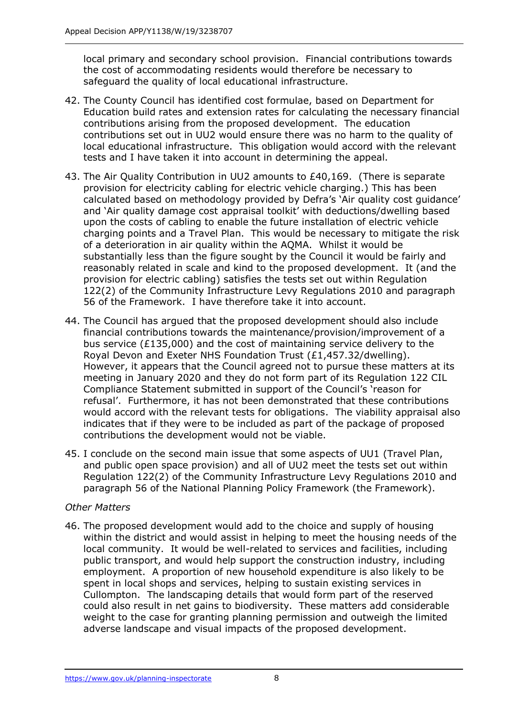local primary and secondary school provision. Financial contributions towards the cost of accommodating residents would therefore be necessary to safeguard the quality of local educational infrastructure.

- 42. The County Council has identified cost formulae, based on Department for Education build rates and extension rates for calculating the necessary financial contributions arising from the proposed development. The education contributions set out in UU2 would ensure there was no harm to the quality of local educational infrastructure. This obligation would accord with the relevant tests and I have taken it into account in determining the appeal.
- 43. The Air Quality Contribution in UU2 amounts to £40,169. (There is separate provision for electricity cabling for electric vehicle charging.) This has been calculated based on methodology provided by Defra's 'Air quality cost guidance' and 'Air quality damage cost appraisal toolkit' with deductions/dwelling based upon the costs of cabling to enable the future installation of electric vehicle charging points and a Travel Plan. This would be necessary to mitigate the risk of a deterioration in air quality within the AQMA. Whilst it would be substantially less than the figure sought by the Council it would be fairly and reasonably related in scale and kind to the proposed development. It (and the provision for electric cabling) satisfies the tests set out within Regulation 122(2) of the Community Infrastructure Levy Regulations 2010 and paragraph 56 of the Framework. I have therefore take it into account.
- 44. The Council has argued that the proposed development should also include financial contributions towards the maintenance/provision/improvement of a bus service (£135,000) and the cost of maintaining service delivery to the Royal Devon and Exeter NHS Foundation Trust (£1,457.32/dwelling). However, it appears that the Council agreed not to pursue these matters at its meeting in January 2020 and they do not form part of its Regulation 122 CIL Compliance Statement submitted in support of the Council's 'reason for refusal'. Furthermore, it has not been demonstrated that these contributions would accord with the relevant tests for obligations. The viability appraisal also indicates that if they were to be included as part of the package of proposed contributions the development would not be viable.
- 45. I conclude on the second main issue that some aspects of UU1 (Travel Plan, and public open space provision) and all of UU2 meet the tests set out within Regulation 122(2) of the Community Infrastructure Levy Regulations 2010 and paragraph 56 of the National Planning Policy Framework (the Framework).

# *Other Matters*

46. The proposed development would add to the choice and supply of housing within the district and would assist in helping to meet the housing needs of the local community. It would be well-related to services and facilities, including public transport, and would help support the construction industry, including employment. A proportion of new household expenditure is also likely to be spent in local shops and services, helping to sustain existing services in Cullompton. The landscaping details that would form part of the reserved could also result in net gains to biodiversity. These matters add considerable weight to the case for granting planning permission and outweigh the limited adverse landscape and visual impacts of the proposed development.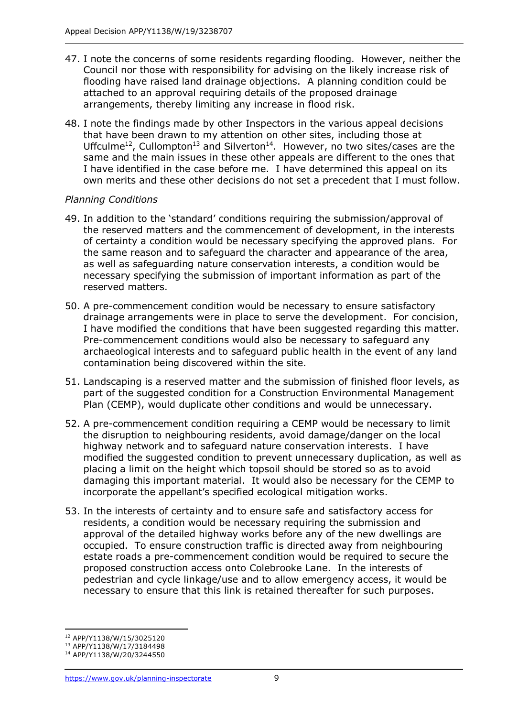- 47. I note the concerns of some residents regarding flooding. However, neither the Council nor those with responsibility for advising on the likely increase risk of flooding have raised land drainage objections. A planning condition could be attached to an approval requiring details of the proposed drainage arrangements, thereby limiting any increase in flood risk.
- 48. I note the findings made by other Inspectors in the various appeal decisions that have been drawn to my attention on other sites, including those at Uffculme<sup>12</sup>, Cullompton<sup>13</sup> and Silverton<sup>14</sup>. However, no two sites/cases are the same and the main issues in these other appeals are different to the ones that I have identified in the case before me. I have determined this appeal on its own merits and these other decisions do not set a precedent that I must follow.

# *Planning Conditions*

- 49. In addition to the 'standard' conditions requiring the submission/approval of the reserved matters and the commencement of development, in the interests of certainty a condition would be necessary specifying the approved plans. For the same reason and to safeguard the character and appearance of the area, as well as safeguarding nature conservation interests, a condition would be necessary specifying the submission of important information as part of the reserved matters.
- 50. A pre-commencement condition would be necessary to ensure satisfactory drainage arrangements were in place to serve the development. For concision, I have modified the conditions that have been suggested regarding this matter. Pre-commencement conditions would also be necessary to safeguard any archaeological interests and to safeguard public health in the event of any land contamination being discovered within the site.
- 51. Landscaping is a reserved matter and the submission of finished floor levels, as part of the suggested condition for a Construction Environmental Management Plan (CEMP), would duplicate other conditions and would be unnecessary.
- 52. A pre-commencement condition requiring a CEMP would be necessary to limit the disruption to neighbouring residents, avoid damage/danger on the local highway network and to safeguard nature conservation interests. I have modified the suggested condition to prevent unnecessary duplication, as well as placing a limit on the height which topsoil should be stored so as to avoid damaging this important material. It would also be necessary for the CEMP to incorporate the appellant's specified ecological mitigation works.
- 53. In the interests of certainty and to ensure safe and satisfactory access for residents, a condition would be necessary requiring the submission and approval of the detailed highway works before any of the new dwellings are occupied. To ensure construction traffic is directed away from neighbouring estate roads a pre-commencement condition would be required to secure the proposed construction access onto Colebrooke Lane. In the interests of pedestrian and cycle linkage/use and to allow emergency access, it would be necessary to ensure that this link is retained thereafter for such purposes.

<sup>12</sup> APP/Y1138/W/15/3025120

<sup>13</sup> APP/Y1138/W/17/3184498

<sup>14</sup> APP/Y1138/W/20/3244550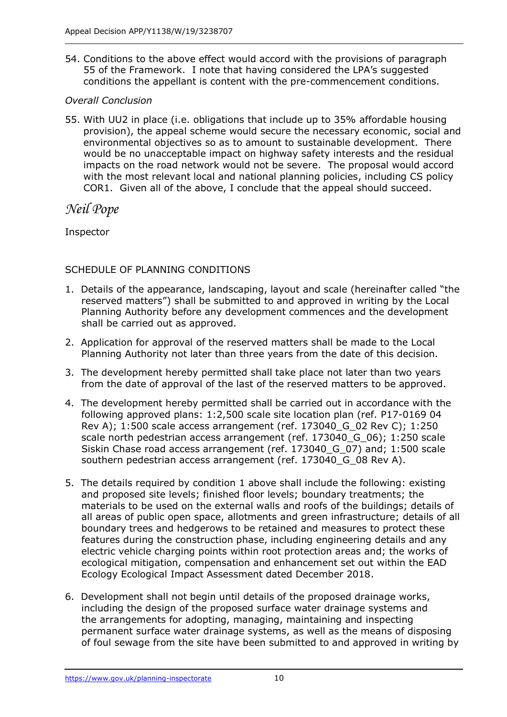54. Conditions to the above effect would accord with the provisions of paragraph 55 of the Framework. I note that having considered the LPA's suggested conditions the appellant is content with the pre-commencement conditions.

#### *Overall Conclusion*

55. With UU2 in place (i.e. obligations that include up to 35% affordable housing provision), the appeal scheme would secure the necessary economic, social and environmental objectives so as to amount to sustainable development. There would be no unacceptable impact on highway safety interests and the residual impacts on the road network would not be severe. The proposal would accord with the most relevant local and national planning policies, including CS policy COR1. Given all of the above, I conclude that the appeal should succeed.

# *Neil Pope*

Inspector

# SCHEDULE OF PLANNING CONDITIONS

- 1. Details of the appearance, landscaping, layout and scale (hereinafter called "the reserved matters") shall be submitted to and approved in writing by the Local Planning Authority before any development commences and the development shall be carried out as approved.
- 2. Application for approval of the reserved matters shall be made to the Local Planning Authority not later than three years from the date of this decision.
- 3. The development hereby permitted shall take place not later than two years from the date of approval of the last of the reserved matters to be approved.
- 4. The development hereby permitted shall be carried out in accordance with the following approved plans: 1:2,500 scale site location plan (ref. P17-0169 04 Rev A); 1:500 scale access arrangement (ref. 173040\_G\_02 Rev C); 1:250 scale north pedestrian access arrangement (ref. 173040\_G\_06); 1:250 scale Siskin Chase road access arrangement (ref. 173040 G 07) and; 1:500 scale southern pedestrian access arrangement (ref. 173040\_G\_08 Rev A).
- 5. The details required by condition 1 above shall include the following: existing and proposed site levels; finished floor levels; boundary treatments; the materials to be used on the external walls and roofs of the buildings; details of all areas of public open space, allotments and green infrastructure; details of all boundary trees and hedgerows to be retained and measures to protect these features during the construction phase, including engineering details and any electric vehicle charging points within root protection areas and; the works of ecological mitigation, compensation and enhancement set out within the EAD Ecology Ecological Impact Assessment dated December 2018.
- 6. Development shall not begin until details of the proposed drainage works, including the design of the proposed surface water drainage systems and the arrangements for adopting, managing, maintaining and inspecting permanent surface water drainage systems, as well as the means of disposing of foul sewage from the site have been submitted to and approved in writing by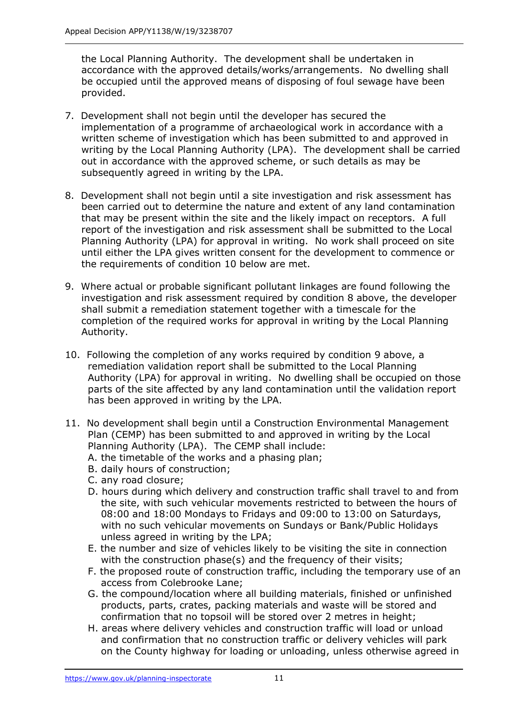the Local Planning Authority. The development shall be undertaken in accordance with the approved details/works/arrangements. No dwelling shall be occupied until the approved means of disposing of foul sewage have been provided.

- 7. Development shall not begin until the developer has secured the implementation of a programme of archaeological work in accordance with a written scheme of investigation which has been submitted to and approved in writing by the Local Planning Authority (LPA). The development shall be carried out in accordance with the approved scheme, or such details as may be subsequently agreed in writing by the LPA.
- 8. Development shall not begin until a site investigation and risk assessment has been carried out to determine the nature and extent of any land contamination that may be present within the site and the likely impact on receptors. A full report of the investigation and risk assessment shall be submitted to the Local Planning Authority (LPA) for approval in writing. No work shall proceed on site until either the LPA gives written consent for the development to commence or the requirements of condition 10 below are met.
- 9. Where actual or probable significant pollutant linkages are found following the investigation and risk assessment required by condition 8 above, the developer shall submit a remediation statement together with a timescale for the completion of the required works for approval in writing by the Local Planning Authority.
- 10. Following the completion of any works required by condition 9 above, a remediation validation report shall be submitted to the Local Planning Authority (LPA) for approval in writing. No dwelling shall be occupied on those parts of the site affected by any land contamination until the validation report has been approved in writing by the LPA.
- 11. No development shall begin until a Construction Environmental Management Plan (CEMP) has been submitted to and approved in writing by the Local Planning Authority (LPA). The CEMP shall include:
	- A. the timetable of the works and a phasing plan;
	- B. daily hours of construction;
	- C. any road closure;
	- D. hours during which delivery and construction traffic shall travel to and from the site, with such vehicular movements restricted to between the hours of 08:00 and 18:00 Mondays to Fridays and 09:00 to 13:00 on Saturdays, with no such vehicular movements on Sundays or Bank/Public Holidays unless agreed in writing by the LPA;
	- E. the number and size of vehicles likely to be visiting the site in connection with the construction phase(s) and the frequency of their visits;
	- F. the proposed route of construction traffic, including the temporary use of an access from Colebrooke Lane;
	- G. the compound/location where all building materials, finished or unfinished products, parts, crates, packing materials and waste will be stored and confirmation that no topsoil will be stored over 2 metres in height;
	- H. areas where delivery vehicles and construction traffic will load or unload and confirmation that no construction traffic or delivery vehicles will park on the County highway for loading or unloading, unless otherwise agreed in